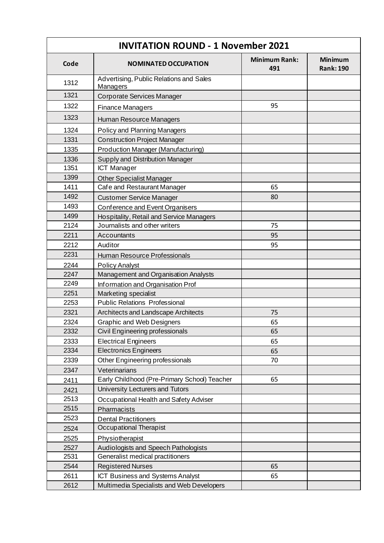| <b>INVITATION ROUND - 1 November 2021</b> |                                                     |                             |                                    |
|-------------------------------------------|-----------------------------------------------------|-----------------------------|------------------------------------|
| Code                                      | <b>NOMINATED OCCUPATION</b>                         | <b>Minimum Rank:</b><br>491 | <b>Minimum</b><br><b>Rank: 190</b> |
| 1312                                      | Advertising, Public Relations and Sales<br>Managers |                             |                                    |
| 1321                                      | Corporate Services Manager                          |                             |                                    |
| 1322                                      | <b>Finance Managers</b>                             | 95                          |                                    |
| 1323                                      | Human Resource Managers                             |                             |                                    |
| 1324                                      | Policy and Planning Managers                        |                             |                                    |
| 1331                                      | <b>Construction Project Manager</b>                 |                             |                                    |
| 1335                                      | <b>Production Manager (Manufacturing)</b>           |                             |                                    |
| 1336                                      | <b>Supply and Distribution Manager</b>              |                             |                                    |
| 1351                                      | <b>ICT Manager</b>                                  |                             |                                    |
| 1399                                      | <b>Other Specialist Manager</b>                     |                             |                                    |
| 1411                                      | Cafe and Restaurant Manager                         | 65                          |                                    |
| 1492                                      | <b>Customer Service Manager</b>                     | 80                          |                                    |
| 1493                                      | Conference and Event Organisers                     |                             |                                    |
| 1499                                      | Hospitality, Retail and Service Managers            |                             |                                    |
| 2124                                      | Journalists and other writers                       | 75                          |                                    |
| 2211                                      | Accountants                                         | 95                          |                                    |
| 2212                                      | Auditor                                             | 95                          |                                    |
| 2231                                      | Human Resource Professionals                        |                             |                                    |
| 2244                                      | <b>Policy Analyst</b>                               |                             |                                    |
| 2247                                      | Management and Organisation Analysts                |                             |                                    |
| 2249                                      | Information and Organisation Prof                   |                             |                                    |
| 2251                                      | Marketing specialist                                |                             |                                    |
| 2253                                      | <b>Public Relations Professional</b>                |                             |                                    |
| 2321                                      | Architects and Landscape Architects                 | 75                          |                                    |
| 2324                                      | <b>Graphic and Web Designers</b>                    | 65                          |                                    |
| 2332                                      | Civil Engineering professionals                     | 65                          |                                    |
| 2333                                      | <b>Electrical Engineers</b>                         | 65                          |                                    |
| 2334                                      | <b>Electronics Engineers</b>                        | 65                          |                                    |
| 2339                                      | Other Engineering professionals                     | 70                          |                                    |
| 2347                                      | Veterinarians                                       |                             |                                    |
| 2411                                      | Early Childhood (Pre-Primary School) Teacher        | 65                          |                                    |
| 2421                                      | University Lecturers and Tutors                     |                             |                                    |
| 2513                                      | Occupational Health and Safety Adviser              |                             |                                    |
| 2515                                      | Pharmacists                                         |                             |                                    |
| 2523                                      | <b>Dental Practitioners</b>                         |                             |                                    |
| 2524                                      | Occupational Therapist                              |                             |                                    |
| 2525                                      | Physiotherapist                                     |                             |                                    |
| 2527                                      | Audiologists and Speech Pathologists                |                             |                                    |
| 2531                                      | Generalist medical practitioners                    |                             |                                    |
| 2544                                      | <b>Registered Nurses</b>                            | 65                          |                                    |
| 2611                                      | ICT Business and Systems Analyst                    | 65                          |                                    |
| 2612                                      | Multimedia Specialists and Web Developers           |                             |                                    |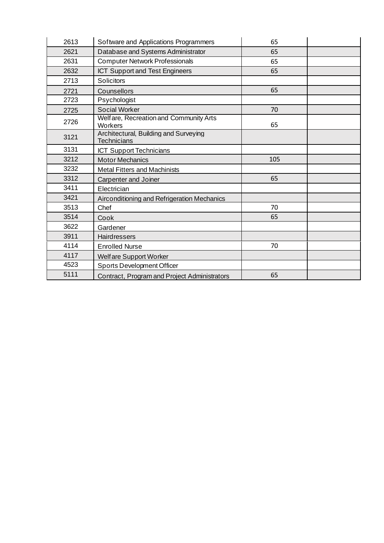| 2613 | Software and Applications Programmers                       | 65  |  |
|------|-------------------------------------------------------------|-----|--|
| 2621 | Database and Systems Administrator                          | 65  |  |
| 2631 | <b>Computer Network Professionals</b>                       | 65  |  |
| 2632 | ICT Support and Test Engineers                              | 65  |  |
| 2713 | Solicitors                                                  |     |  |
| 2721 | Counsellors                                                 | 65  |  |
| 2723 | Psychologist                                                |     |  |
| 2725 | <b>Social Worker</b>                                        | 70  |  |
| 2726 | Welfare, Recreation and Community Arts<br>Workers           | 65  |  |
| 3121 | Architectural, Building and Surveying<br><b>Technicians</b> |     |  |
| 3131 | <b>ICT Support Technicians</b>                              |     |  |
| 3212 | <b>Motor Mechanics</b>                                      | 105 |  |
| 3232 | <b>Metal Fitters and Machinists</b>                         |     |  |
| 3312 | Carpenter and Joiner                                        | 65  |  |
| 3411 | Electrician                                                 |     |  |
| 3421 | Airconditioning and Refrigeration Mechanics                 |     |  |
| 3513 | Chef                                                        | 70  |  |
| 3514 | Cook                                                        | 65  |  |
| 3622 | Gardener                                                    |     |  |
| 3911 | Hairdressers                                                |     |  |
| 4114 | <b>Enrolled Nurse</b>                                       | 70  |  |
| 4117 | Welfare Support Worker                                      |     |  |
| 4523 | <b>Sports Development Officer</b>                           |     |  |
| 5111 | Contract, Program and Project Administrators                | 65  |  |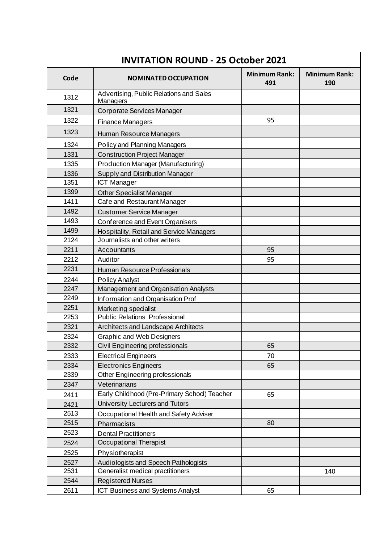| <b>INVITATION ROUND - 25 October 2021</b> |                                                     |                             |                             |
|-------------------------------------------|-----------------------------------------------------|-----------------------------|-----------------------------|
| Code                                      | <b>NOMINATED OCCUPATION</b>                         | <b>Minimum Rank:</b><br>491 | <b>Minimum Rank:</b><br>190 |
| 1312                                      | Advertising, Public Relations and Sales<br>Managers |                             |                             |
| 1321                                      | Corporate Services Manager                          |                             |                             |
| 1322                                      | <b>Finance Managers</b>                             | 95                          |                             |
| 1323                                      | Human Resource Managers                             |                             |                             |
| 1324                                      | Policy and Planning Managers                        |                             |                             |
| 1331                                      | <b>Construction Project Manager</b>                 |                             |                             |
| 1335                                      | Production Manager (Manufacturing)                  |                             |                             |
| 1336                                      | Supply and Distribution Manager                     |                             |                             |
| 1351                                      | <b>ICT Manager</b>                                  |                             |                             |
| 1399                                      | <b>Other Specialist Manager</b>                     |                             |                             |
| 1411                                      | Cafe and Restaurant Manager                         |                             |                             |
| 1492                                      | <b>Customer Service Manager</b>                     |                             |                             |
| 1493                                      | Conference and Event Organisers                     |                             |                             |
| 1499                                      | <b>Hospitality, Retail and Service Managers</b>     |                             |                             |
| 2124                                      | Journalists and other writers                       |                             |                             |
| 2211                                      | Accountants                                         | 95                          |                             |
| 2212                                      | Auditor                                             | 95                          |                             |
| 2231                                      | Human Resource Professionals                        |                             |                             |
| 2244                                      | <b>Policy Analyst</b>                               |                             |                             |
| 2247                                      | Management and Organisation Analysts                |                             |                             |
| 2249                                      | Information and Organisation Prof                   |                             |                             |
| 2251                                      | Marketing specialist                                |                             |                             |
| 2253                                      | <b>Public Relations Professional</b>                |                             |                             |
| 2321                                      | Architects and Landscape Architects                 |                             |                             |
| 2324                                      | <b>Graphic and Web Designers</b>                    |                             |                             |
| 2332                                      | Civil Engineering professionals                     | 65                          |                             |
| 2333                                      | <b>Electrical Engineers</b>                         | 70                          |                             |
| 2334                                      | <b>Electronics Engineers</b>                        | 65                          |                             |
| 2339                                      | Other Engineering professionals                     |                             |                             |
| 2347                                      | Veterinarians                                       |                             |                             |
| 2411                                      | Early Childhood (Pre-Primary School) Teacher        | 65                          |                             |
| 2421                                      | University Lecturers and Tutors                     |                             |                             |
| 2513                                      | Occupational Health and Safety Adviser              |                             |                             |
| 2515                                      | Pharmacists                                         | 80                          |                             |
| 2523                                      | <b>Dental Practitioners</b>                         |                             |                             |
| 2524                                      | Occupational Therapist                              |                             |                             |
| 2525                                      | Physiotherapist                                     |                             |                             |
| 2527                                      | Audiologists and Speech Pathologists                |                             |                             |
| 2531                                      | Generalist medical practitioners                    |                             | 140                         |
| 2544                                      | <b>Registered Nurses</b>                            |                             |                             |
| 2611                                      | ICT Business and Systems Analyst                    | 65                          |                             |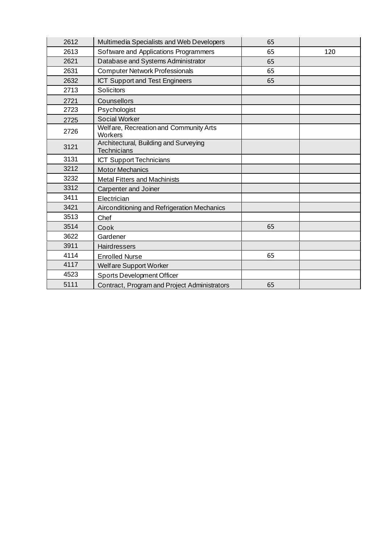| 2612 | Multimedia Specialists and Web Developers                   | 65 |     |
|------|-------------------------------------------------------------|----|-----|
| 2613 | Software and Applications Programmers                       | 65 | 120 |
| 2621 | Database and Systems Administrator                          | 65 |     |
| 2631 | <b>Computer Network Professionals</b>                       | 65 |     |
| 2632 | <b>ICT Support and Test Engineers</b>                       | 65 |     |
| 2713 | Solicitors                                                  |    |     |
| 2721 | Counsellors                                                 |    |     |
| 2723 | Psychologist                                                |    |     |
| 2725 | <b>Social Worker</b>                                        |    |     |
| 2726 | Welfare, Recreation and Community Arts<br>Workers           |    |     |
| 3121 | Architectural, Building and Surveying<br><b>Technicians</b> |    |     |
| 3131 | ICT Support Technicians                                     |    |     |
| 3212 | <b>Motor Mechanics</b>                                      |    |     |
| 3232 | <b>Metal Fitters and Machinists</b>                         |    |     |
| 3312 | Carpenter and Joiner                                        |    |     |
| 3411 | Electrician                                                 |    |     |
| 3421 | Airconditioning and Refrigeration Mechanics                 |    |     |
| 3513 | Chef                                                        |    |     |
| 3514 | Cook                                                        | 65 |     |
| 3622 | Gardener                                                    |    |     |
| 3911 | <b>Hairdressers</b>                                         |    |     |
| 4114 | <b>Enrolled Nurse</b>                                       | 65 |     |
| 4117 | Welfare Support Worker                                      |    |     |
| 4523 | <b>Sports Development Officer</b>                           |    |     |
| 5111 | Contract, Program and Project Administrators                | 65 |     |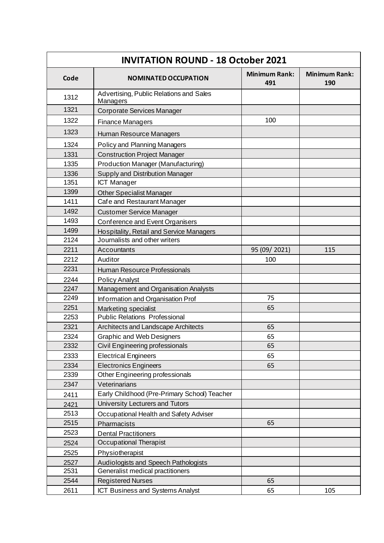| <b>INVITATION ROUND - 18 October 2021</b> |                                                     |                             |                             |
|-------------------------------------------|-----------------------------------------------------|-----------------------------|-----------------------------|
| Code                                      | <b>NOMINATED OCCUPATION</b>                         | <b>Minimum Rank:</b><br>491 | <b>Minimum Rank:</b><br>190 |
| 1312                                      | Advertising, Public Relations and Sales<br>Managers |                             |                             |
| 1321                                      | Corporate Services Manager                          |                             |                             |
| 1322                                      | <b>Finance Managers</b>                             | 100                         |                             |
| 1323                                      | Human Resource Managers                             |                             |                             |
| 1324                                      | <b>Policy and Planning Managers</b>                 |                             |                             |
| 1331                                      | <b>Construction Project Manager</b>                 |                             |                             |
| 1335                                      | Production Manager (Manufacturing)                  |                             |                             |
| 1336                                      | Supply and Distribution Manager                     |                             |                             |
| 1351                                      | <b>ICT Manager</b>                                  |                             |                             |
| 1399                                      | <b>Other Specialist Manager</b>                     |                             |                             |
| 1411                                      | Cafe and Restaurant Manager                         |                             |                             |
| 1492                                      | <b>Customer Service Manager</b>                     |                             |                             |
| 1493                                      | Conference and Event Organisers                     |                             |                             |
| 1499                                      | <b>Hospitality, Retail and Service Managers</b>     |                             |                             |
| 2124                                      | Journalists and other writers                       |                             |                             |
| 2211                                      | Accountants                                         | 95 (09/2021)                | 115                         |
| 2212                                      | Auditor                                             | 100                         |                             |
| 2231                                      | Human Resource Professionals                        |                             |                             |
| 2244                                      | <b>Policy Analyst</b>                               |                             |                             |
| 2247                                      | Management and Organisation Analysts                |                             |                             |
| 2249                                      | Information and Organisation Prof                   | 75                          |                             |
| 2251                                      | Marketing specialist                                | 65                          |                             |
| 2253                                      | <b>Public Relations Professional</b>                |                             |                             |
| 2321                                      | Architects and Landscape Architects                 | 65                          |                             |
| 2324                                      | <b>Graphic and Web Designers</b>                    | 65                          |                             |
| 2332                                      | Civil Engineering professionals                     | 65                          |                             |
| 2333                                      | <b>Electrical Engineers</b>                         | 65                          |                             |
| 2334                                      | <b>Electronics Engineers</b>                        | 65                          |                             |
| 2339                                      | Other Engineering professionals                     |                             |                             |
| 2347                                      | Veterinarians                                       |                             |                             |
| 2411                                      | Early Childhood (Pre-Primary School) Teacher        |                             |                             |
| 2421                                      | University Lecturers and Tutors                     |                             |                             |
| 2513                                      | Occupational Health and Safety Adviser              |                             |                             |
| 2515                                      | Pharmacists                                         | 65                          |                             |
| 2523                                      | <b>Dental Practitioners</b>                         |                             |                             |
| 2524                                      | Occupational Therapist                              |                             |                             |
| 2525                                      | Physiotherapist                                     |                             |                             |
| 2527                                      | Audiologists and Speech Pathologists                |                             |                             |
| 2531                                      | Generalist medical practitioners                    |                             |                             |
| 2544                                      | <b>Registered Nurses</b>                            | 65                          |                             |
| 2611                                      | ICT Business and Systems Analyst                    | 65                          | 105                         |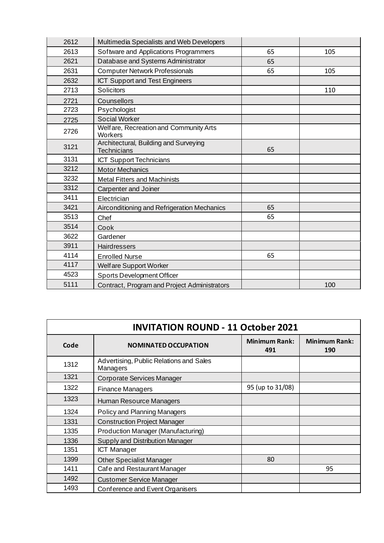| 2612 | Multimedia Specialists and Web Developers                   |    |     |
|------|-------------------------------------------------------------|----|-----|
| 2613 | Software and Applications Programmers                       | 65 | 105 |
| 2621 | Database and Systems Administrator                          | 65 |     |
| 2631 | <b>Computer Network Professionals</b>                       | 65 | 105 |
| 2632 | <b>ICT Support and Test Engineers</b>                       |    |     |
| 2713 | Solicitors                                                  |    | 110 |
| 2721 | Counsellors                                                 |    |     |
| 2723 | Psychologist                                                |    |     |
| 2725 | <b>Social Worker</b>                                        |    |     |
| 2726 | Welfare, Recreation and Community Arts<br>Workers           |    |     |
| 3121 | Architectural, Building and Surveying<br><b>Technicians</b> | 65 |     |
| 3131 | <b>ICT Support Technicians</b>                              |    |     |
| 3212 | <b>Motor Mechanics</b>                                      |    |     |
| 3232 | <b>Metal Fitters and Machinists</b>                         |    |     |
| 3312 | <b>Carpenter and Joiner</b>                                 |    |     |
| 3411 | Electrician                                                 |    |     |
| 3421 | Airconditioning and Refrigeration Mechanics                 | 65 |     |
| 3513 | Chef                                                        | 65 |     |
| 3514 | Cook                                                        |    |     |
| 3622 | Gardener                                                    |    |     |
| 3911 | <b>Hairdressers</b>                                         |    |     |
| 4114 | <b>Enrolled Nurse</b>                                       | 65 |     |
| 4117 | Welfare Support Worker                                      |    |     |
| 4523 | <b>Sports Development Officer</b>                           |    |     |
| 5111 | Contract, Program and Project Administrators                |    | 100 |

| <b>INVITATION ROUND - 11 October 2021</b> |                                                     |                             |                             |
|-------------------------------------------|-----------------------------------------------------|-----------------------------|-----------------------------|
| Code                                      | <b>NOMINATED OCCUPATION</b>                         | <b>Minimum Rank:</b><br>491 | <b>Minimum Rank:</b><br>190 |
| 1312                                      | Advertising, Public Relations and Sales<br>Managers |                             |                             |
| 1321                                      | Corporate Services Manager                          |                             |                             |
| 1322                                      | <b>Finance Managers</b>                             | 95 (up to 31/08)            |                             |
| 1323                                      | Human Resource Managers                             |                             |                             |
| 1324                                      | Policy and Planning Managers                        |                             |                             |
| 1331                                      | <b>Construction Project Manager</b>                 |                             |                             |
| 1335                                      | Production Manager (Manufacturing)                  |                             |                             |
| 1336                                      | Supply and Distribution Manager                     |                             |                             |
| 1351                                      | <b>ICT Manager</b>                                  |                             |                             |
| 1399                                      | <b>Other Specialist Manager</b>                     | 80                          |                             |
| 1411                                      | Cafe and Restaurant Manager                         |                             | 95                          |
| 1492                                      | <b>Customer Service Manager</b>                     |                             |                             |
| 1493                                      | Conference and Event Organisers                     |                             |                             |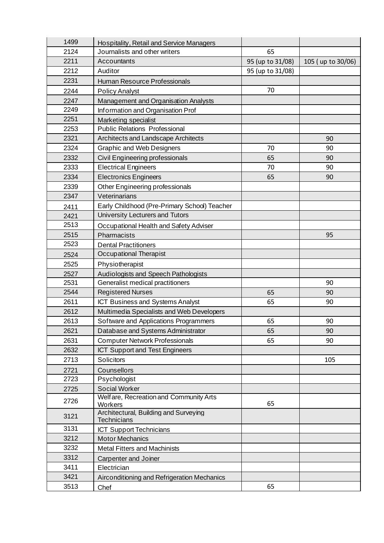| 1499 | Hospitality, Retail and Service Managers         |                  |                   |
|------|--------------------------------------------------|------------------|-------------------|
| 2124 | Journalists and other writers                    | 65               |                   |
| 2211 | Accountants                                      | 95 (up to 31/08) | 105 (up to 30/06) |
| 2212 | Auditor                                          | 95 (up to 31/08) |                   |
| 2231 | Human Resource Professionals                     |                  |                   |
| 2244 | <b>Policy Analyst</b>                            | 70               |                   |
| 2247 | Management and Organisation Analysts             |                  |                   |
| 2249 | Information and Organisation Prof                |                  |                   |
| 2251 | Marketing specialist                             |                  |                   |
| 2253 | <b>Public Relations Professional</b>             |                  |                   |
| 2321 | Architects and Landscape Architects              |                  | 90                |
| 2324 | <b>Graphic and Web Designers</b>                 | 70               | 90                |
| 2332 | Civil Engineering professionals                  | 65               | 90                |
| 2333 | <b>Electrical Engineers</b>                      | 70               | 90                |
| 2334 | <b>Electronics Engineers</b>                     | 65               | 90                |
| 2339 | Other Engineering professionals                  |                  |                   |
| 2347 | Veterinarians                                    |                  |                   |
| 2411 | Early Childhood (Pre-Primary School) Teacher     |                  |                   |
| 2421 | University Lecturers and Tutors                  |                  |                   |
| 2513 | Occupational Health and Safety Adviser           |                  |                   |
| 2515 | Pharmacists                                      |                  | 95                |
| 2523 | <b>Dental Practitioners</b>                      |                  |                   |
| 2524 | Occupational Therapist                           |                  |                   |
| 2525 | Physiotherapist                                  |                  |                   |
| 2527 | Audiologists and Speech Pathologists             |                  |                   |
| 2531 | Generalist medical practitioners                 |                  | 90                |
| 2544 | <b>Registered Nurses</b>                         | 65               | 90                |
| 2611 | <b>ICT Business and Systems Analyst</b>          | 65               | 90                |
| 2612 | Multimedia Specialists and Web Developers        |                  |                   |
| 2613 | Software and Applications Programmers            | 65               | 90                |
| 2621 | Database and Systems Administrator               | 65               | 90                |
| 2631 | <b>Computer Network Professionals</b>            | 65               | 90                |
| 2632 | <b>ICT Support and Test Engineers</b>            |                  |                   |
| 2713 | Solicitors                                       |                  | 105               |
| 2721 | Counsellors                                      |                  |                   |
| 2723 | Psychologist                                     |                  |                   |
| 2725 | <b>Social Worker</b>                             |                  |                   |
| 2726 | Welfare, Recreation and Community Arts           | 65               |                   |
|      | Workers<br>Architectural, Building and Surveying |                  |                   |
| 3121 | <b>Technicians</b>                               |                  |                   |
| 3131 | <b>ICT Support Technicians</b>                   |                  |                   |
| 3212 | <b>Motor Mechanics</b>                           |                  |                   |
| 3232 | <b>Metal Fitters and Machinists</b>              |                  |                   |
| 3312 | Carpenter and Joiner                             |                  |                   |
| 3411 | Electrician                                      |                  |                   |
| 3421 | Airconditioning and Refrigeration Mechanics      |                  |                   |
| 3513 | Chef                                             | 65               |                   |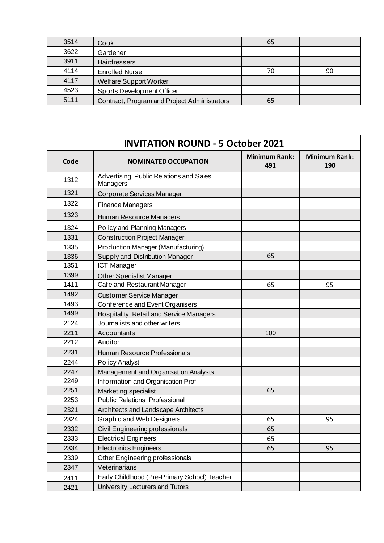| 3514 | Cook                                         | 65 |    |
|------|----------------------------------------------|----|----|
| 3622 | Gardener                                     |    |    |
| 3911 | Hairdressers                                 |    |    |
| 4114 | <b>Enrolled Nurse</b>                        | 70 | 90 |
| 4117 | Welfare Support Worker                       |    |    |
| 4523 | <b>Sports Development Officer</b>            |    |    |
| 5111 | Contract, Program and Project Administrators | 65 |    |

| <b>INVITATION ROUND - 5 October 2021</b> |                                                     |                             |                             |
|------------------------------------------|-----------------------------------------------------|-----------------------------|-----------------------------|
| Code                                     | <b>NOMINATED OCCUPATION</b>                         | <b>Minimum Rank:</b><br>491 | <b>Minimum Rank:</b><br>190 |
| 1312                                     | Advertising, Public Relations and Sales<br>Managers |                             |                             |
| 1321                                     | Corporate Services Manager                          |                             |                             |
| 1322                                     | <b>Finance Managers</b>                             |                             |                             |
| 1323                                     | Human Resource Managers                             |                             |                             |
| 1324                                     | Policy and Planning Managers                        |                             |                             |
| 1331                                     | <b>Construction Project Manager</b>                 |                             |                             |
| 1335                                     | <b>Production Manager (Manufacturing)</b>           |                             |                             |
| 1336                                     | <b>Supply and Distribution Manager</b>              | 65                          |                             |
| 1351                                     | <b>ICT Manager</b>                                  |                             |                             |
| 1399                                     | <b>Other Specialist Manager</b>                     |                             |                             |
| 1411                                     | Cafe and Restaurant Manager                         | 65                          | 95                          |
| 1492                                     | <b>Customer Service Manager</b>                     |                             |                             |
| 1493                                     | Conference and Event Organisers                     |                             |                             |
| 1499                                     | Hospitality, Retail and Service Managers            |                             |                             |
| 2124                                     | Journalists and other writers                       |                             |                             |
| 2211                                     | Accountants                                         | 100                         |                             |
| 2212                                     | Auditor                                             |                             |                             |
| 2231                                     | Human Resource Professionals                        |                             |                             |
| 2244                                     | <b>Policy Analyst</b>                               |                             |                             |
| 2247                                     | <b>Management and Organisation Analysts</b>         |                             |                             |
| 2249                                     | Information and Organisation Prof                   |                             |                             |
| 2251                                     | <b>Marketing specialist</b>                         | 65                          |                             |
| 2253                                     | <b>Public Relations Professional</b>                |                             |                             |
| 2321                                     | Architects and Landscape Architects                 |                             |                             |
| 2324                                     | <b>Graphic and Web Designers</b>                    | 65                          | 95                          |
| 2332                                     | Civil Engineering professionals                     | 65                          |                             |
| 2333                                     | <b>Electrical Engineers</b>                         | 65                          |                             |
| 2334                                     | <b>Electronics Engineers</b>                        | 65                          | 95                          |
| 2339                                     | Other Engineering professionals                     |                             |                             |
| 2347                                     | Veterinarians                                       |                             |                             |
| 2411                                     | Early Childhood (Pre-Primary School) Teacher        |                             |                             |
| 2421                                     | University Lecturers and Tutors                     |                             |                             |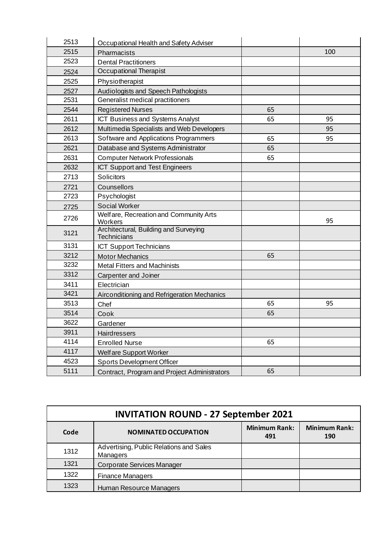| 2513 | Occupational Health and Safety Adviser                      |    |     |
|------|-------------------------------------------------------------|----|-----|
| 2515 | Pharmacists                                                 |    | 100 |
| 2523 | <b>Dental Practitioners</b>                                 |    |     |
| 2524 | Occupational Therapist                                      |    |     |
| 2525 | Physiotherapist                                             |    |     |
| 2527 | Audiologists and Speech Pathologists                        |    |     |
| 2531 | Generalist medical practitioners                            |    |     |
| 2544 | <b>Registered Nurses</b>                                    | 65 |     |
| 2611 | <b>ICT Business and Systems Analyst</b>                     | 65 | 95  |
| 2612 | Multimedia Specialists and Web Developers                   |    | 95  |
| 2613 | Software and Applications Programmers                       | 65 | 95  |
| 2621 | Database and Systems Administrator                          | 65 |     |
| 2631 | <b>Computer Network Professionals</b>                       | 65 |     |
| 2632 | <b>ICT Support and Test Engineers</b>                       |    |     |
| 2713 | <b>Solicitors</b>                                           |    |     |
| 2721 | Counsellors                                                 |    |     |
| 2723 | Psychologist                                                |    |     |
| 2725 | <b>Social Worker</b>                                        |    |     |
| 2726 | Welfare, Recreation and Community Arts<br>Workers           |    | 95  |
| 3121 | Architectural, Building and Surveying<br><b>Technicians</b> |    |     |
| 3131 | <b>ICT Support Technicians</b>                              |    |     |
| 3212 | <b>Motor Mechanics</b>                                      | 65 |     |
| 3232 | <b>Metal Fitters and Machinists</b>                         |    |     |
| 3312 | Carpenter and Joiner                                        |    |     |
| 3411 | Electrician                                                 |    |     |
| 3421 | Airconditioning and Refrigeration Mechanics                 |    |     |
| 3513 | Chef                                                        | 65 | 95  |
| 3514 | Cook                                                        | 65 |     |
| 3622 | Gardener                                                    |    |     |
| 3911 | Hairdressers                                                |    |     |
| 4114 | <b>Enrolled Nurse</b>                                       | 65 |     |
| 4117 | Welfare Support Worker                                      |    |     |
| 4523 | <b>Sports Development Officer</b>                           |    |     |
| 5111 | Contract, Program and Project Administrators                | 65 |     |

| <b>INVITATION ROUND - 27 September 2021</b> |                                                            |                             |                             |
|---------------------------------------------|------------------------------------------------------------|-----------------------------|-----------------------------|
| Code                                        | <b>NOMINATED OCCUPATION</b>                                | <b>Minimum Rank:</b><br>491 | <b>Minimum Rank:</b><br>190 |
| 1312                                        | Advertising, Public Relations and Sales<br><b>Managers</b> |                             |                             |
| 1321                                        | Corporate Services Manager                                 |                             |                             |
| 1322                                        | <b>Finance Managers</b>                                    |                             |                             |
| 1323                                        | Human Resource Managers                                    |                             |                             |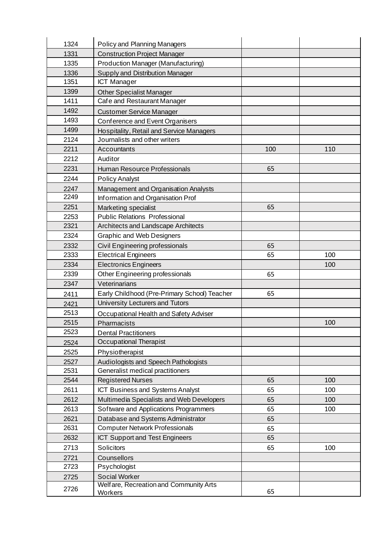| 1324 | Policy and Planning Managers                      |     |     |
|------|---------------------------------------------------|-----|-----|
| 1331 | <b>Construction Project Manager</b>               |     |     |
| 1335 | <b>Production Manager (Manufacturing)</b>         |     |     |
| 1336 | Supply and Distribution Manager                   |     |     |
| 1351 | <b>ICT Manager</b>                                |     |     |
| 1399 | <b>Other Specialist Manager</b>                   |     |     |
| 1411 | Cafe and Restaurant Manager                       |     |     |
| 1492 | <b>Customer Service Manager</b>                   |     |     |
| 1493 | Conference and Event Organisers                   |     |     |
| 1499 | Hospitality, Retail and Service Managers          |     |     |
| 2124 | Journalists and other writers                     |     |     |
| 2211 | Accountants                                       | 100 | 110 |
| 2212 | Auditor                                           |     |     |
| 2231 | Human Resource Professionals                      | 65  |     |
| 2244 | <b>Policy Analyst</b>                             |     |     |
| 2247 | Management and Organisation Analysts              |     |     |
| 2249 | Information and Organisation Prof                 |     |     |
| 2251 | <b>Marketing specialist</b>                       | 65  |     |
| 2253 | <b>Public Relations Professional</b>              |     |     |
| 2321 | Architects and Landscape Architects               |     |     |
| 2324 | <b>Graphic and Web Designers</b>                  |     |     |
| 2332 | Civil Engineering professionals                   | 65  |     |
| 2333 | <b>Electrical Engineers</b>                       | 65  | 100 |
| 2334 | <b>Electronics Engineers</b>                      |     | 100 |
| 2339 | Other Engineering professionals                   | 65  |     |
| 2347 | Veterinarians                                     |     |     |
| 2411 | Early Childhood (Pre-Primary School) Teacher      | 65  |     |
| 2421 | University Lecturers and Tutors                   |     |     |
| 2513 | Occupational Health and Safety Adviser            |     |     |
| 2515 | Pharmacists                                       |     | 100 |
| 2523 | <b>Dental Practitioners</b>                       |     |     |
| 2524 | Occupational Therapist                            |     |     |
| 2525 | Physiotherapist                                   |     |     |
| 2527 | Audiologists and Speech Pathologists              |     |     |
| 2531 | Generalist medical practitioners                  |     |     |
| 2544 | <b>Registered Nurses</b>                          | 65  | 100 |
| 2611 | ICT Business and Systems Analyst                  | 65  | 100 |
| 2612 | Multimedia Specialists and Web Developers         | 65  | 100 |
| 2613 | Software and Applications Programmers             | 65  | 100 |
| 2621 | Database and Systems Administrator                | 65  |     |
| 2631 | <b>Computer Network Professionals</b>             | 65  |     |
| 2632 | <b>ICT Support and Test Engineers</b>             | 65  |     |
| 2713 | Solicitors                                        | 65  | 100 |
| 2721 | Counsellors                                       |     |     |
| 2723 | Psychologist                                      |     |     |
| 2725 | <b>Social Worker</b>                              |     |     |
| 2726 | Welfare, Recreation and Community Arts<br>Workers | 65  |     |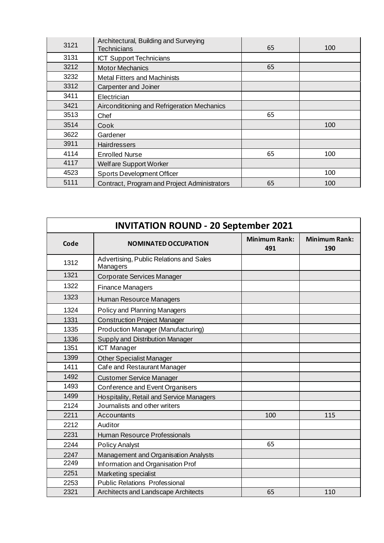| 3121 | Architectural, Building and Surveying<br>Technicians | 65 | 100 |
|------|------------------------------------------------------|----|-----|
| 3131 | <b>ICT Support Technicians</b>                       |    |     |
| 3212 | <b>Motor Mechanics</b>                               | 65 |     |
| 3232 | <b>Metal Fitters and Machinists</b>                  |    |     |
| 3312 | Carpenter and Joiner                                 |    |     |
| 3411 | Electrician                                          |    |     |
| 3421 | Airconditioning and Refrigeration Mechanics          |    |     |
| 3513 | Chef                                                 | 65 |     |
| 3514 | Cook                                                 |    | 100 |
| 3622 | Gardener                                             |    |     |
| 3911 | <b>Hairdressers</b>                                  |    |     |
| 4114 | <b>Enrolled Nurse</b>                                | 65 | 100 |
| 4117 | Welfare Support Worker                               |    |     |
| 4523 | <b>Sports Development Officer</b>                    |    | 100 |
| 5111 | Contract, Program and Project Administrators         | 65 | 100 |

| <b>INVITATION ROUND - 20 September 2021</b> |                                                     |                             |                             |
|---------------------------------------------|-----------------------------------------------------|-----------------------------|-----------------------------|
| Code                                        | <b>NOMINATED OCCUPATION</b>                         | <b>Minimum Rank:</b><br>491 | <b>Minimum Rank:</b><br>190 |
| 1312                                        | Advertising, Public Relations and Sales<br>Managers |                             |                             |
| 1321                                        | Corporate Services Manager                          |                             |                             |
| 1322                                        | <b>Finance Managers</b>                             |                             |                             |
| 1323                                        | Human Resource Managers                             |                             |                             |
| 1324                                        | Policy and Planning Managers                        |                             |                             |
| 1331                                        | <b>Construction Project Manager</b>                 |                             |                             |
| 1335                                        | <b>Production Manager (Manufacturing)</b>           |                             |                             |
| 1336                                        | Supply and Distribution Manager                     |                             |                             |
| 1351                                        | <b>ICT Manager</b>                                  |                             |                             |
| 1399                                        | <b>Other Specialist Manager</b>                     |                             |                             |
| 1411                                        | Cafe and Restaurant Manager                         |                             |                             |
| 1492                                        | <b>Customer Service Manager</b>                     |                             |                             |
| 1493                                        | Conference and Event Organisers                     |                             |                             |
| 1499                                        | Hospitality, Retail and Service Managers            |                             |                             |
| 2124                                        | Journalists and other writers                       |                             |                             |
| 2211                                        | Accountants                                         | 100                         | 115                         |
| 2212                                        | Auditor                                             |                             |                             |
| 2231                                        | Human Resource Professionals                        |                             |                             |
| 2244                                        | <b>Policy Analyst</b>                               | 65                          |                             |
| 2247                                        | Management and Organisation Analysts                |                             |                             |
| 2249                                        | Information and Organisation Prof                   |                             |                             |
| 2251                                        | Marketing specialist                                |                             |                             |
| 2253                                        | <b>Public Relations Professional</b>                |                             |                             |
| 2321                                        | Architects and Landscape Architects                 | 65                          | 110                         |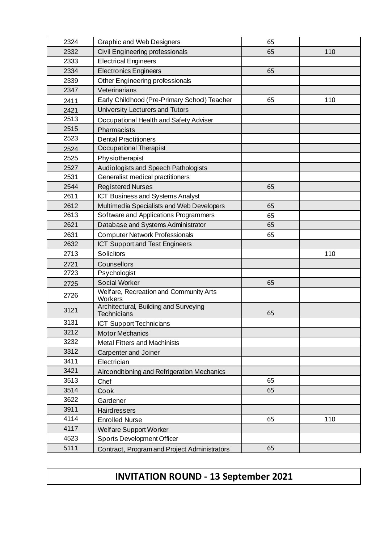| 2324 | <b>Graphic and Web Designers</b>                            | 65 |     |
|------|-------------------------------------------------------------|----|-----|
| 2332 | Civil Engineering professionals                             | 65 | 110 |
| 2333 | <b>Electrical Engineers</b>                                 |    |     |
| 2334 | <b>Electronics Engineers</b>                                | 65 |     |
| 2339 | Other Engineering professionals                             |    |     |
| 2347 | Veterinarians                                               |    |     |
| 2411 | Early Childhood (Pre-Primary School) Teacher                | 65 | 110 |
| 2421 | University Lecturers and Tutors                             |    |     |
| 2513 | Occupational Health and Safety Adviser                      |    |     |
| 2515 | Pharmacists                                                 |    |     |
| 2523 | <b>Dental Practitioners</b>                                 |    |     |
| 2524 | Occupational Therapist                                      |    |     |
| 2525 | Physiotherapist                                             |    |     |
| 2527 | Audiologists and Speech Pathologists                        |    |     |
| 2531 | Generalist medical practitioners                            |    |     |
| 2544 | <b>Registered Nurses</b>                                    | 65 |     |
| 2611 | <b>ICT Business and Systems Analyst</b>                     |    |     |
| 2612 | Multimedia Specialists and Web Developers                   | 65 |     |
| 2613 | Software and Applications Programmers                       | 65 |     |
| 2621 | Database and Systems Administrator                          | 65 |     |
| 2631 | <b>Computer Network Professionals</b>                       | 65 |     |
| 2632 | ICT Support and Test Engineers                              |    |     |
| 2713 | Solicitors                                                  |    | 110 |
| 2721 | Counsellors                                                 |    |     |
| 2723 | Psychologist                                                |    |     |
| 2725 | <b>Social Worker</b>                                        | 65 |     |
| 2726 | Welfare, Recreation and Community Arts<br>Workers           |    |     |
| 3121 | Architectural, Building and Surveying<br><b>Technicians</b> | 65 |     |
| 3131 | <b>ICT Support Technicians</b>                              |    |     |
| 3212 | <b>Motor Mechanics</b>                                      |    |     |
| 3232 | <b>Metal Fitters and Machinists</b>                         |    |     |
| 3312 | Carpenter and Joiner                                        |    |     |
| 3411 | Electrician                                                 |    |     |
| 3421 | Airconditioning and Refrigeration Mechanics                 |    |     |
| 3513 | Chef                                                        | 65 |     |
| 3514 | Cook                                                        | 65 |     |
| 3622 | Gardener                                                    |    |     |
| 3911 | Hairdressers                                                |    |     |
| 4114 | <b>Enrolled Nurse</b>                                       | 65 | 110 |
| 4117 | Welfare Support Worker                                      |    |     |
| 4523 | <b>Sports Development Officer</b>                           |    |     |
| 5111 | Contract, Program and Project Administrators                | 65 |     |

## **INVITATION ROUND - 13 September 2021**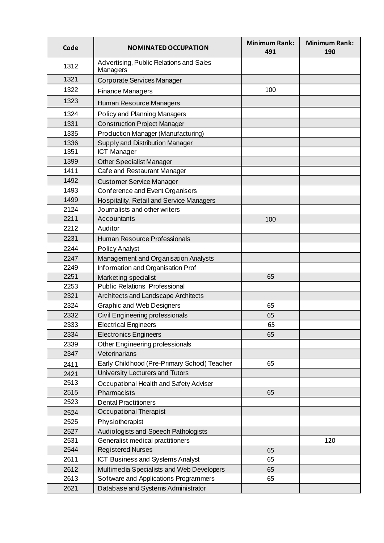| Code | <b>NOMINATED OCCUPATION</b>                         | <b>Minimum Rank:</b><br>491 | <b>Minimum Rank:</b><br>190 |
|------|-----------------------------------------------------|-----------------------------|-----------------------------|
| 1312 | Advertising, Public Relations and Sales<br>Managers |                             |                             |
| 1321 | Corporate Services Manager                          |                             |                             |
| 1322 | <b>Finance Managers</b>                             | 100                         |                             |
| 1323 | Human Resource Managers                             |                             |                             |
| 1324 | Policy and Planning Managers                        |                             |                             |
| 1331 | <b>Construction Project Manager</b>                 |                             |                             |
| 1335 | <b>Production Manager (Manufacturing)</b>           |                             |                             |
| 1336 | Supply and Distribution Manager                     |                             |                             |
| 1351 | <b>ICT Manager</b>                                  |                             |                             |
| 1399 | <b>Other Specialist Manager</b>                     |                             |                             |
| 1411 | Cafe and Restaurant Manager                         |                             |                             |
| 1492 | <b>Customer Service Manager</b>                     |                             |                             |
| 1493 | Conference and Event Organisers                     |                             |                             |
| 1499 | Hospitality, Retail and Service Managers            |                             |                             |
| 2124 | Journalists and other writers                       |                             |                             |
| 2211 | Accountants                                         | 100                         |                             |
| 2212 | Auditor                                             |                             |                             |
| 2231 | Human Resource Professionals                        |                             |                             |
| 2244 | <b>Policy Analyst</b>                               |                             |                             |
| 2247 | Management and Organisation Analysts                |                             |                             |
| 2249 | Information and Organisation Prof                   |                             |                             |
| 2251 | Marketing specialist                                | 65                          |                             |
| 2253 | <b>Public Relations Professional</b>                |                             |                             |
| 2321 | Architects and Landscape Architects                 |                             |                             |
| 2324 | <b>Graphic and Web Designers</b>                    | 65                          |                             |
| 2332 | Civil Engineering professionals                     | 65                          |                             |
| 2333 | <b>Electrical Engineers</b>                         | 65                          |                             |
| 2334 | <b>Electronics Engineers</b>                        | 65                          |                             |
| 2339 | Other Engineering professionals                     |                             |                             |
| 2347 | Veterinarians                                       |                             |                             |
| 2411 | Early Childhood (Pre-Primary School) Teacher        | 65                          |                             |
| 2421 | University Lecturers and Tutors                     |                             |                             |
| 2513 | Occupational Health and Safety Adviser              |                             |                             |
| 2515 | Pharmacists                                         | 65                          |                             |
| 2523 | <b>Dental Practitioners</b>                         |                             |                             |
| 2524 | Occupational Therapist                              |                             |                             |
| 2525 | Physiotherapist                                     |                             |                             |
| 2527 | Audiologists and Speech Pathologists                |                             |                             |
| 2531 | Generalist medical practitioners                    |                             | 120                         |
| 2544 | <b>Registered Nurses</b>                            | 65                          |                             |
| 2611 | ICT Business and Systems Analyst                    | 65                          |                             |
| 2612 | Multimedia Specialists and Web Developers           | 65                          |                             |
| 2613 | Software and Applications Programmers               | 65                          |                             |
| 2621 | Database and Systems Administrator                  |                             |                             |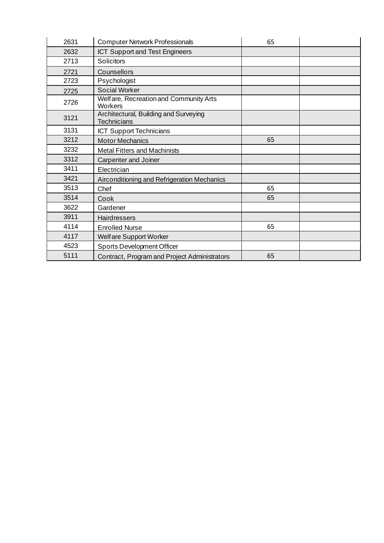| 2631 | <b>Computer Network Professionals</b>                       | 65 |  |
|------|-------------------------------------------------------------|----|--|
| 2632 | <b>ICT Support and Test Engineers</b>                       |    |  |
| 2713 | Solicitors                                                  |    |  |
| 2721 | Counsellors                                                 |    |  |
| 2723 | Psychologist                                                |    |  |
| 2725 | <b>Social Worker</b>                                        |    |  |
| 2726 | Welfare, Recreation and Community Arts<br>Workers           |    |  |
| 3121 | Architectural, Building and Surveying<br><b>Technicians</b> |    |  |
| 3131 | <b>ICT Support Technicians</b>                              |    |  |
| 3212 | <b>Motor Mechanics</b>                                      | 65 |  |
| 3232 | <b>Metal Fitters and Machinists</b>                         |    |  |
| 3312 | Carpenter and Joiner                                        |    |  |
| 3411 | Electrician                                                 |    |  |
| 3421 | Airconditioning and Refrigeration Mechanics                 |    |  |
| 3513 | Chef                                                        | 65 |  |
| 3514 | Cook                                                        | 65 |  |
| 3622 | Gardener                                                    |    |  |
| 3911 | <b>Hairdressers</b>                                         |    |  |
| 4114 | <b>Enrolled Nurse</b>                                       | 65 |  |
| 4117 | Welfare Support Worker                                      |    |  |
| 4523 | <b>Sports Development Officer</b>                           |    |  |
| 5111 | Contract, Program and Project Administrators                | 65 |  |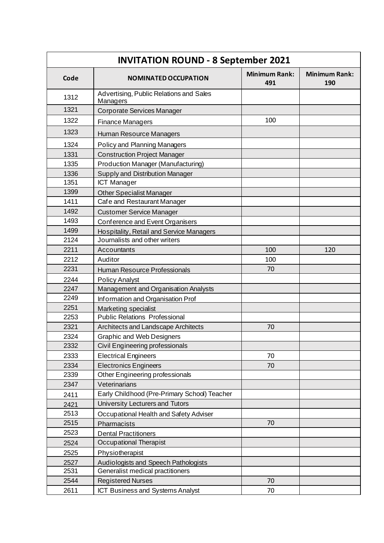| <b>INVITATION ROUND - 8 September 2021</b> |                                                     |                             |                             |
|--------------------------------------------|-----------------------------------------------------|-----------------------------|-----------------------------|
| Code                                       | <b>NOMINATED OCCUPATION</b>                         | <b>Minimum Rank:</b><br>491 | <b>Minimum Rank:</b><br>190 |
| 1312                                       | Advertising, Public Relations and Sales<br>Managers |                             |                             |
| 1321                                       | Corporate Services Manager                          |                             |                             |
| 1322                                       | <b>Finance Managers</b>                             | 100                         |                             |
| 1323                                       | Human Resource Managers                             |                             |                             |
| 1324                                       | <b>Policy and Planning Managers</b>                 |                             |                             |
| 1331                                       | <b>Construction Project Manager</b>                 |                             |                             |
| 1335                                       | Production Manager (Manufacturing)                  |                             |                             |
| 1336                                       | Supply and Distribution Manager                     |                             |                             |
| 1351                                       | <b>ICT Manager</b>                                  |                             |                             |
| 1399                                       | <b>Other Specialist Manager</b>                     |                             |                             |
| 1411                                       | Cafe and Restaurant Manager                         |                             |                             |
| 1492                                       | <b>Customer Service Manager</b>                     |                             |                             |
| 1493                                       | Conference and Event Organisers                     |                             |                             |
| 1499                                       | <b>Hospitality, Retail and Service Managers</b>     |                             |                             |
| 2124                                       | Journalists and other writers                       |                             |                             |
| 2211                                       | Accountants                                         | 100                         | 120                         |
| 2212                                       | Auditor                                             | 100                         |                             |
| 2231                                       | Human Resource Professionals                        | 70                          |                             |
| 2244                                       | <b>Policy Analyst</b>                               |                             |                             |
| 2247                                       | Management and Organisation Analysts                |                             |                             |
| 2249                                       | Information and Organisation Prof                   |                             |                             |
| 2251                                       | Marketing specialist                                |                             |                             |
| 2253                                       | <b>Public Relations Professional</b>                |                             |                             |
| 2321                                       | Architects and Landscape Architects                 | 70                          |                             |
| 2324                                       | <b>Graphic and Web Designers</b>                    |                             |                             |
| 2332                                       | Civil Engineering professionals                     |                             |                             |
| 2333                                       | <b>Electrical Engineers</b>                         | 70                          |                             |
| 2334                                       | <b>Electronics Engineers</b>                        | 70                          |                             |
| 2339                                       | Other Engineering professionals                     |                             |                             |
| 2347                                       | Veterinarians                                       |                             |                             |
| 2411                                       | Early Childhood (Pre-Primary School) Teacher        |                             |                             |
| 2421                                       | University Lecturers and Tutors                     |                             |                             |
| 2513                                       | Occupational Health and Safety Adviser              |                             |                             |
| 2515                                       | Pharmacists                                         | 70                          |                             |
| 2523                                       | <b>Dental Practitioners</b>                         |                             |                             |
| 2524                                       | Occupational Therapist                              |                             |                             |
| 2525                                       | Physiotherapist                                     |                             |                             |
| 2527                                       | Audiologists and Speech Pathologists                |                             |                             |
| 2531                                       | Generalist medical practitioners                    |                             |                             |
| 2544                                       | <b>Registered Nurses</b>                            | 70                          |                             |
| 2611                                       | ICT Business and Systems Analyst                    | 70                          |                             |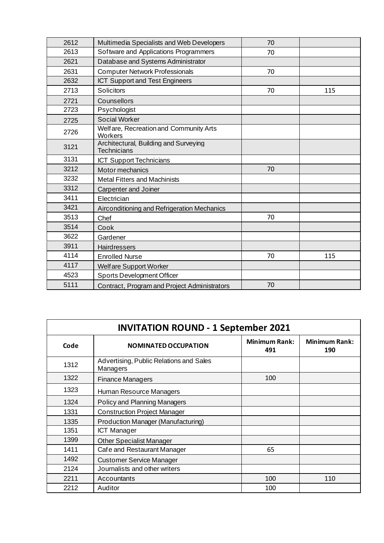| 2612 | Multimedia Specialists and Web Developers                   | 70 |     |
|------|-------------------------------------------------------------|----|-----|
| 2613 | Software and Applications Programmers                       | 70 |     |
| 2621 | Database and Systems Administrator                          |    |     |
| 2631 | <b>Computer Network Professionals</b>                       | 70 |     |
| 2632 | ICT Support and Test Engineers                              |    |     |
| 2713 | <b>Solicitors</b>                                           | 70 | 115 |
| 2721 | Counsellors                                                 |    |     |
| 2723 | Psychologist                                                |    |     |
| 2725 | <b>Social Worker</b>                                        |    |     |
| 2726 | Welfare, Recreation and Community Arts<br>Workers           |    |     |
| 3121 | Architectural, Building and Surveying<br><b>Technicians</b> |    |     |
| 3131 | <b>ICT Support Technicians</b>                              |    |     |
| 3212 | Motor mechanics                                             | 70 |     |
| 3232 | <b>Metal Fitters and Machinists</b>                         |    |     |
| 3312 | <b>Carpenter and Joiner</b>                                 |    |     |
| 3411 | Electrician                                                 |    |     |
| 3421 | Airconditioning and Refrigeration Mechanics                 |    |     |
| 3513 | Chef                                                        | 70 |     |
| 3514 | Cook                                                        |    |     |
| 3622 | Gardener                                                    |    |     |
| 3911 | Hairdressers                                                |    |     |
| 4114 | <b>Enrolled Nurse</b>                                       | 70 | 115 |
| 4117 | Welfare Support Worker                                      |    |     |
| 4523 | <b>Sports Development Officer</b>                           |    |     |
| 5111 | Contract, Program and Project Administrators                | 70 |     |

| <b>INVITATION ROUND - 1 September 2021</b> |                                                     |                             |                             |
|--------------------------------------------|-----------------------------------------------------|-----------------------------|-----------------------------|
| Code                                       | <b>NOMINATED OCCUPATION</b>                         | <b>Minimum Rank:</b><br>491 | <b>Minimum Rank:</b><br>190 |
| 1312                                       | Advertising, Public Relations and Sales<br>Managers |                             |                             |
| 1322                                       | <b>Finance Managers</b>                             | 100                         |                             |
| 1323                                       | Human Resource Managers                             |                             |                             |
| 1324                                       | Policy and Planning Managers                        |                             |                             |
| 1331                                       | <b>Construction Project Manager</b>                 |                             |                             |
| 1335                                       | Production Manager (Manufacturing)                  |                             |                             |
| 1351                                       | <b>ICT Manager</b>                                  |                             |                             |
| 1399                                       | <b>Other Specialist Manager</b>                     |                             |                             |
| 1411                                       | Cafe and Restaurant Manager                         | 65                          |                             |
| 1492                                       | <b>Customer Service Manager</b>                     |                             |                             |
| 2124                                       | Journalists and other writers                       |                             |                             |
| 2211                                       | Accountants                                         | 100                         | 110                         |
| 2212                                       | Auditor                                             | 100                         |                             |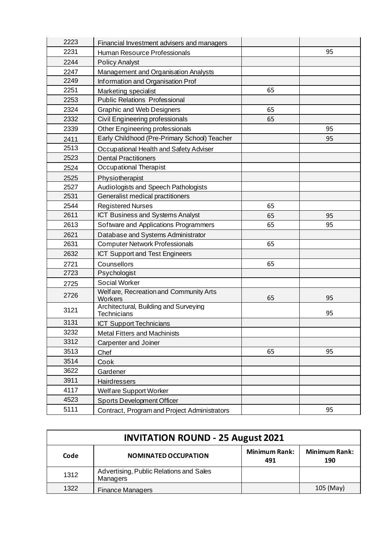| 2223 | Financial Investment advisers and managers                  |    |    |
|------|-------------------------------------------------------------|----|----|
| 2231 | Human Resource Professionals                                |    | 95 |
| 2244 | <b>Policy Analyst</b>                                       |    |    |
| 2247 | Management and Organisation Analysts                        |    |    |
| 2249 | Information and Organisation Prof                           |    |    |
| 2251 | Marketing specialist                                        | 65 |    |
| 2253 | <b>Public Relations Professional</b>                        |    |    |
| 2324 | <b>Graphic and Web Designers</b>                            | 65 |    |
| 2332 | Civil Engineering professionals                             | 65 |    |
| 2339 | Other Engineering professionals                             |    | 95 |
| 2411 | Early Childhood (Pre-Primary School) Teacher                |    | 95 |
| 2513 | Occupational Health and Safety Adviser                      |    |    |
| 2523 | <b>Dental Practitioners</b>                                 |    |    |
| 2524 | Occupational Therapist                                      |    |    |
| 2525 | Physiotherapist                                             |    |    |
| 2527 | Audiologists and Speech Pathologists                        |    |    |
| 2531 | Generalist medical practitioners                            |    |    |
| 2544 | <b>Registered Nurses</b>                                    | 65 |    |
| 2611 | ICT Business and Systems Analyst                            | 65 | 95 |
| 2613 | Software and Applications Programmers                       | 65 | 95 |
| 2621 | Database and Systems Administrator                          |    |    |
| 2631 | <b>Computer Network Professionals</b>                       | 65 |    |
| 2632 | <b>ICT Support and Test Engineers</b>                       |    |    |
| 2721 | Counsellors                                                 | 65 |    |
| 2723 | Psychologist                                                |    |    |
| 2725 | <b>Social Worker</b>                                        |    |    |
| 2726 | Welfare, Recreation and Community Arts<br>Workers           | 65 | 95 |
| 3121 | Architectural, Building and Surveying<br><b>Technicians</b> |    | 95 |
| 3131 | <b>ICT Support Technicians</b>                              |    |    |
| 3232 | <b>Metal Fitters and Machinists</b>                         |    |    |
| 3312 | Carpenter and Joiner                                        |    |    |
| 3513 | Chef                                                        | 65 | 95 |
| 3514 | Cook                                                        |    |    |
| 3622 | Gardener                                                    |    |    |
| 3911 | Hairdressers                                                |    |    |
| 4117 | Welfare Support Worker                                      |    |    |
| 4523 | <b>Sports Development Officer</b>                           |    |    |
| 5111 | Contract, Program and Project Administrators                |    | 95 |

| <b>INVITATION ROUND - 25 August 2021</b> |                                                     |                             |                             |
|------------------------------------------|-----------------------------------------------------|-----------------------------|-----------------------------|
| Code                                     | <b>NOMINATED OCCUPATION</b>                         | <b>Minimum Rank:</b><br>491 | <b>Minimum Rank:</b><br>190 |
| 1312                                     | Advertising, Public Relations and Sales<br>Managers |                             |                             |
| 1322                                     | <b>Finance Managers</b>                             |                             | 105 (May)                   |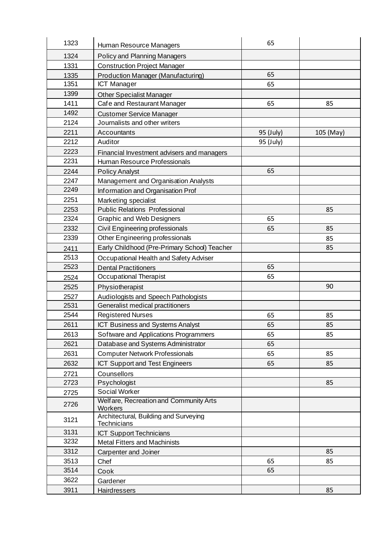| 1323 | Human Resource Managers                              | 65        |           |
|------|------------------------------------------------------|-----------|-----------|
| 1324 | Policy and Planning Managers                         |           |           |
| 1331 | <b>Construction Project Manager</b>                  |           |           |
| 1335 | <b>Production Manager (Manufacturing)</b>            | 65        |           |
| 1351 | ICT Manager                                          | 65        |           |
| 1399 | Other Specialist Manager                             |           |           |
| 1411 | Cafe and Restaurant Manager                          | 65        | 85        |
| 1492 | <b>Customer Service Manager</b>                      |           |           |
| 2124 | Journalists and other writers                        |           |           |
| 2211 | Accountants                                          | 95 (July) | 105 (May) |
| 2212 | Auditor                                              | 95 (July) |           |
| 2223 | Financial Investment advisers and managers           |           |           |
| 2231 | Human Resource Professionals                         |           |           |
| 2244 | <b>Policy Analyst</b>                                | 65        |           |
| 2247 | Management and Organisation Analysts                 |           |           |
| 2249 | Information and Organisation Prof                    |           |           |
| 2251 | Marketing specialist                                 |           |           |
| 2253 | <b>Public Relations Professional</b>                 |           | 85        |
| 2324 | <b>Graphic and Web Designers</b>                     | 65        |           |
| 2332 | Civil Engineering professionals                      | 65        | 85        |
| 2339 | Other Engineering professionals                      |           | 85        |
| 2411 | Early Childhood (Pre-Primary School) Teacher         |           | 85        |
| 2513 | Occupational Health and Safety Adviser               |           |           |
| 2523 | <b>Dental Practitioners</b>                          | 65        |           |
| 2524 | Occupational Therapist                               | 65        |           |
| 2525 | Physiotherapist                                      |           | 90        |
| 2527 | Audiologists and Speech Pathologists                 |           |           |
| 2531 | Generalist medical practitioners                     |           |           |
| 2544 | <b>Registered Nurses</b>                             | 65        | 85        |
| 2611 | ICT Business and Systems Analyst                     | 65        | 85        |
| 2613 | Software and Applications Programmers                | 65        | 85        |
| 2621 | Database and Systems Administrator                   | 65        |           |
| 2631 | <b>Computer Network Professionals</b>                | 65        | 85        |
| 2632 | ICT Support and Test Engineers                       | 65        | 85        |
| 2721 | Counsellors                                          |           |           |
| 2723 | Psychologist                                         |           | 85        |
| 2725 | Social Worker                                        |           |           |
| 2726 | Welfare, Recreation and Community Arts<br>Workers    |           |           |
| 3121 | Architectural, Building and Surveying<br>Technicians |           |           |
| 3131 | <b>ICT Support Technicians</b>                       |           |           |
| 3232 | <b>Metal Fitters and Machinists</b>                  |           |           |
| 3312 | Carpenter and Joiner                                 |           | 85        |
| 3513 | Chef                                                 | 65        | 85        |
| 3514 | Cook                                                 | 65        |           |
| 3622 | Gardener                                             |           |           |
| 3911 | Hairdressers                                         |           | 85        |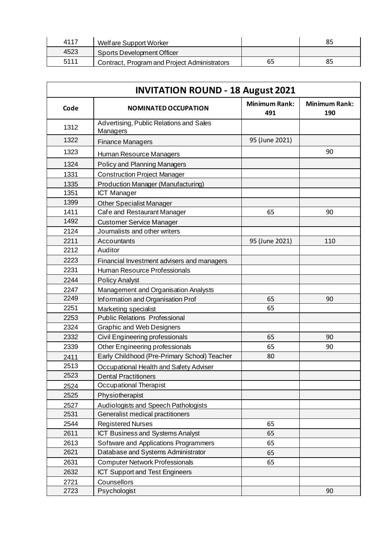| 4117 | Welfare Support Worker                       |    |    |
|------|----------------------------------------------|----|----|
| 4523 | Sports Development Officer                   |    |    |
| 5111 | Contract, Program and Project Administrators | 65 | 85 |

| <b>INVITATION ROUND - 18 August 2021</b> |                                                     |                             |                             |
|------------------------------------------|-----------------------------------------------------|-----------------------------|-----------------------------|
| Code                                     | <b>NOMINATED OCCUPATION</b>                         | <b>Minimum Rank:</b><br>491 | <b>Minimum Rank:</b><br>190 |
| 1312                                     | Advertising, Public Relations and Sales<br>Managers |                             |                             |
| 1322                                     | <b>Finance Managers</b>                             | 95 (June 2021)              |                             |
| 1323                                     | Human Resource Managers                             |                             | 90                          |
| 1324                                     | Policy and Planning Managers                        |                             |                             |
| 1331                                     | <b>Construction Project Manager</b>                 |                             |                             |
| 1335                                     | Production Manager (Manufacturing)                  |                             |                             |
| 1351                                     | <b>ICT Manager</b>                                  |                             |                             |
| 1399                                     | <b>Other Specialist Manager</b>                     |                             |                             |
| 1411                                     | Cafe and Restaurant Manager                         | 65                          | 90                          |
| 1492                                     | <b>Customer Service Manager</b>                     |                             |                             |
| 2124                                     | Journalists and other writers                       |                             |                             |
| 2211                                     | Accountants                                         | 95 (June 2021)              | 110                         |
| 2212                                     | Auditor                                             |                             |                             |
| 2223                                     | Financial Investment advisers and managers          |                             |                             |
| 2231                                     | Human Resource Professionals                        |                             |                             |
| 2244                                     | <b>Policy Analyst</b>                               |                             |                             |
| 2247                                     | <b>Management and Organisation Analysts</b>         |                             |                             |
| 2249                                     | Information and Organisation Prof                   | 65                          | 90                          |
| 2251                                     | Marketing specialist                                | 65                          |                             |
| 2253                                     | <b>Public Relations Professional</b>                |                             |                             |
| 2324                                     | <b>Graphic and Web Designers</b>                    |                             |                             |
| 2332                                     | Civil Engineering professionals                     | 65                          | 90                          |
| 2339                                     | Other Engineering professionals                     | 65                          | 90                          |
| 2411                                     | Early Childhood (Pre-Primary School) Teacher        | 80                          |                             |
| 2513                                     | Occupational Health and Safety Adviser              |                             |                             |
| 2523                                     | <b>Dental Practitioners</b>                         |                             |                             |
| 2524                                     | Occupational Therapist                              |                             |                             |
| 2525                                     | Physiotherapist                                     |                             |                             |
| 2527                                     | Audiologists and Speech Pathologists                |                             |                             |
| 2531                                     | Generalist medical practitioners                    |                             |                             |
| 2544                                     | <b>Registered Nurses</b>                            | 65                          |                             |
| 2611                                     | ICT Business and Systems Analyst                    | 65                          |                             |
| 2613                                     | Software and Applications Programmers               | 65                          |                             |
| 2621                                     | Database and Systems Administrator                  | 65                          |                             |
| 2631                                     | <b>Computer Network Professionals</b>               | 65                          |                             |
| 2632                                     | <b>ICT Support and Test Engineers</b>               |                             |                             |
| 2721                                     | Counsellors                                         |                             |                             |
| 2723                                     | Psychologist                                        |                             | 90                          |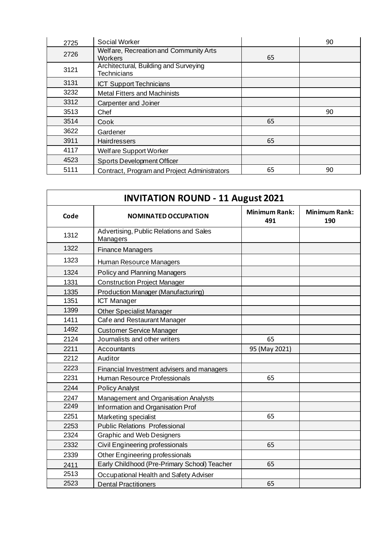| 2725 | <b>Social Worker</b>                                        |    | 90 |
|------|-------------------------------------------------------------|----|----|
| 2726 | Welfare, Recreation and Community Arts<br>Workers           | 65 |    |
| 3121 | Architectural, Building and Surveying<br><b>Technicians</b> |    |    |
| 3131 | <b>ICT Support Technicians</b>                              |    |    |
| 3232 | <b>Metal Fitters and Machinists</b>                         |    |    |
| 3312 | Carpenter and Joiner                                        |    |    |
| 3513 | Chef                                                        |    | 90 |
| 3514 | Cook                                                        | 65 |    |
| 3622 | Gardener                                                    |    |    |
| 3911 | <b>Hairdressers</b>                                         | 65 |    |
| 4117 | <b>Welfare Support Worker</b>                               |    |    |
| 4523 | <b>Sports Development Officer</b>                           |    |    |
| 5111 | Contract, Program and Project Administrators                | 65 | 90 |

| <b>INVITATION ROUND - 11 August 2021</b> |                                                     |                             |                             |
|------------------------------------------|-----------------------------------------------------|-----------------------------|-----------------------------|
| Code                                     | <b>NOMINATED OCCUPATION</b>                         | <b>Minimum Rank:</b><br>491 | <b>Minimum Rank:</b><br>190 |
| 1312                                     | Advertising, Public Relations and Sales<br>Managers |                             |                             |
| 1322                                     | <b>Finance Managers</b>                             |                             |                             |
| 1323                                     | Human Resource Managers                             |                             |                             |
| 1324                                     | Policy and Planning Managers                        |                             |                             |
| 1331                                     | <b>Construction Project Manager</b>                 |                             |                             |
| 1335                                     | Production Manager (Manufacturing)                  |                             |                             |
| 1351                                     | <b>ICT Manager</b>                                  |                             |                             |
| 1399                                     | Other Specialist Manager                            |                             |                             |
| 1411                                     | Cafe and Restaurant Manager                         |                             |                             |
| 1492                                     | <b>Customer Service Manager</b>                     |                             |                             |
| 2124                                     | Journalists and other writers                       | 65                          |                             |
| 2211                                     | Accountants                                         | 95 (May 2021)               |                             |
| 2212                                     | Auditor                                             |                             |                             |
| 2223                                     | Financial Investment advisers and managers          |                             |                             |
| 2231                                     | Human Resource Professionals                        | 65                          |                             |
| 2244                                     | <b>Policy Analyst</b>                               |                             |                             |
| 2247                                     | Management and Organisation Analysts                |                             |                             |
| 2249                                     | Information and Organisation Prof                   |                             |                             |
| 2251                                     | Marketing specialist                                | 65                          |                             |
| 2253                                     | <b>Public Relations Professional</b>                |                             |                             |
| 2324                                     | <b>Graphic and Web Designers</b>                    |                             |                             |
| 2332                                     | Civil Engineering professionals                     | 65                          |                             |
| 2339                                     | Other Engineering professionals                     |                             |                             |
| 2411                                     | Early Childhood (Pre-Primary School) Teacher        | 65                          |                             |
| 2513                                     | Occupational Health and Safety Adviser              |                             |                             |
| 2523                                     | <b>Dental Practitioners</b>                         | 65                          |                             |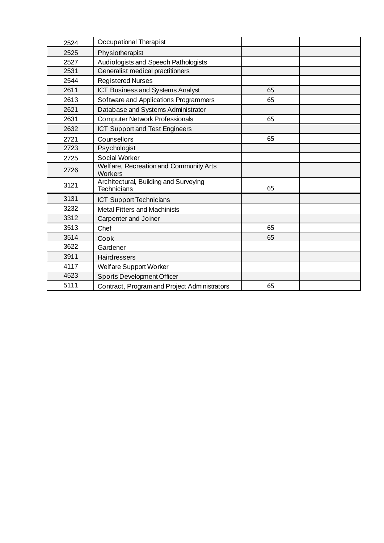| 2524 | Occupational Therapist                                      |    |  |
|------|-------------------------------------------------------------|----|--|
| 2525 | Physiotherapist                                             |    |  |
| 2527 | Audiologists and Speech Pathologists                        |    |  |
| 2531 | Generalist medical practitioners                            |    |  |
| 2544 | <b>Registered Nurses</b>                                    |    |  |
| 2611 | ICT Business and Systems Analyst                            | 65 |  |
| 2613 | Software and Applications Programmers                       | 65 |  |
| 2621 | Database and Systems Administrator                          |    |  |
| 2631 | <b>Computer Network Professionals</b>                       | 65 |  |
| 2632 | <b>ICT Support and Test Engineers</b>                       |    |  |
| 2721 | Counsellors                                                 | 65 |  |
| 2723 | Psychologist                                                |    |  |
| 2725 | <b>Social Worker</b>                                        |    |  |
| 2726 | Welfare, Recreation and Community Arts<br>Workers           |    |  |
| 3121 | Architectural, Building and Surveying<br><b>Technicians</b> | 65 |  |
| 3131 | <b>ICT Support Technicians</b>                              |    |  |
| 3232 | <b>Metal Fitters and Machinists</b>                         |    |  |
| 3312 | Carpenter and Joiner                                        |    |  |
| 3513 | Chef                                                        | 65 |  |
| 3514 | Cook                                                        | 65 |  |
| 3622 | Gardener                                                    |    |  |
| 3911 | <b>Hairdressers</b>                                         |    |  |
| 4117 | Welfare Support Worker                                      |    |  |
| 4523 | <b>Sports Development Officer</b>                           |    |  |
| 5111 | Contract, Program and Project Administrators                | 65 |  |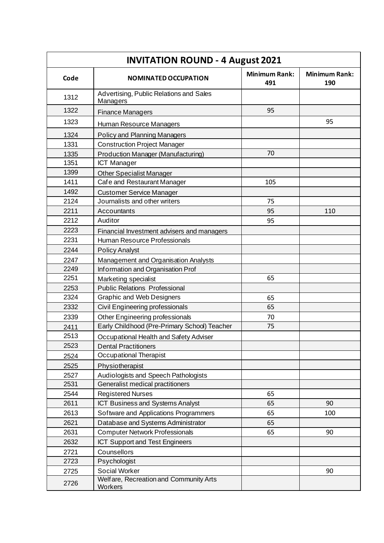| <b>INVITATION ROUND - 4 August 2021</b> |                                                     |                             |                             |
|-----------------------------------------|-----------------------------------------------------|-----------------------------|-----------------------------|
| Code                                    | <b>NOMINATED OCCUPATION</b>                         | <b>Minimum Rank:</b><br>491 | <b>Minimum Rank:</b><br>190 |
| 1312                                    | Advertising, Public Relations and Sales<br>Managers |                             |                             |
| 1322                                    | Finance Managers                                    | 95                          |                             |
| 1323                                    | Human Resource Managers                             |                             | 95                          |
| 1324                                    | <b>Policy and Planning Managers</b>                 |                             |                             |
| 1331                                    | <b>Construction Project Manager</b>                 |                             |                             |
| 1335                                    | Production Manager (Manufacturing)                  | 70                          |                             |
| 1351                                    | <b>ICT Manager</b>                                  |                             |                             |
| 1399                                    | <b>Other Specialist Manager</b>                     |                             |                             |
| 1411                                    | Cafe and Restaurant Manager                         | 105                         |                             |
| 1492                                    | <b>Customer Service Manager</b>                     |                             |                             |
| 2124                                    | Journalists and other writers                       | 75                          |                             |
| 2211                                    | Accountants                                         | 95                          | 110                         |
| 2212                                    | Auditor                                             | 95                          |                             |
| 2223                                    | Financial Investment advisers and managers          |                             |                             |
| 2231                                    | Human Resource Professionals                        |                             |                             |
| 2244                                    | <b>Policy Analyst</b>                               |                             |                             |
| 2247                                    | Management and Organisation Analysts                |                             |                             |
| 2249                                    | Information and Organisation Prof                   |                             |                             |
| 2251                                    | Marketing specialist                                | 65                          |                             |
| 2253                                    | <b>Public Relations Professional</b>                |                             |                             |
| 2324                                    | <b>Graphic and Web Designers</b>                    | 65                          |                             |
| 2332                                    | Civil Engineering professionals                     | 65                          |                             |
| 2339                                    | Other Engineering professionals                     | 70                          |                             |
| 2411                                    | Early Childhood (Pre-Primary School) Teacher        | 75                          |                             |
| 2513                                    | Occupational Health and Safety Adviser              |                             |                             |
| 2523                                    | <b>Dental Practitioners</b>                         |                             |                             |
| 2524                                    | Occupational Therapist                              |                             |                             |
| 2525                                    | Physiotherapist                                     |                             |                             |
| 2527                                    | Audiologists and Speech Pathologists                |                             |                             |
| 2531                                    | Generalist medical practitioners                    |                             |                             |
| 2544                                    | <b>Registered Nurses</b>                            | 65                          |                             |
| 2611                                    | ICT Business and Systems Analyst                    | 65                          | 90                          |
| 2613                                    | Software and Applications Programmers               | 65                          | 100                         |
| 2621                                    | Database and Systems Administrator                  | 65                          |                             |
| 2631                                    | <b>Computer Network Professionals</b>               | 65                          | 90                          |
| 2632                                    | ICT Support and Test Engineers                      |                             |                             |
| 2721                                    | Counsellors                                         |                             |                             |
| 2723                                    | Psychologist                                        |                             |                             |
| 2725                                    | Social Worker                                       |                             | 90                          |
| 2726                                    | Welfare, Recreation and Community Arts<br>Workers   |                             |                             |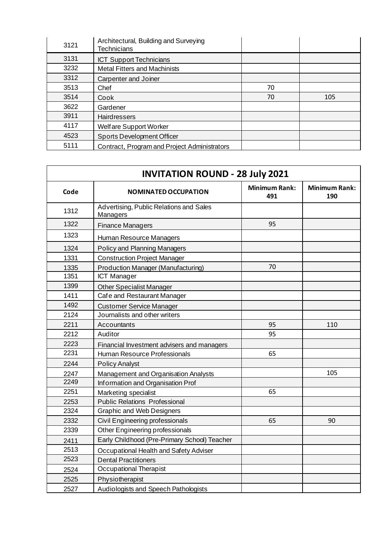| 3121 | Architectural, Building and Surveying<br>Technicians |    |     |
|------|------------------------------------------------------|----|-----|
| 3131 | <b>ICT Support Technicians</b>                       |    |     |
| 3232 | <b>Metal Fitters and Machinists</b>                  |    |     |
| 3312 | Carpenter and Joiner                                 |    |     |
| 3513 | Chef                                                 | 70 |     |
| 3514 | Cook                                                 | 70 | 105 |
| 3622 | Gardener                                             |    |     |
| 3911 | <b>Hairdressers</b>                                  |    |     |
| 4117 | Welfare Support Worker                               |    |     |
| 4523 | Sports Development Officer                           |    |     |
| 5111 | Contract, Program and Project Administrators         |    |     |

| <b>INVITATION ROUND - 28 July 2021</b> |                                                     |                             |                             |
|----------------------------------------|-----------------------------------------------------|-----------------------------|-----------------------------|
| Code                                   | <b>NOMINATED OCCUPATION</b>                         | <b>Minimum Rank:</b><br>491 | <b>Minimum Rank:</b><br>190 |
| 1312                                   | Advertising, Public Relations and Sales<br>Managers |                             |                             |
| 1322                                   | <b>Finance Managers</b>                             | 95                          |                             |
| 1323                                   | Human Resource Managers                             |                             |                             |
| 1324                                   | Policy and Planning Managers                        |                             |                             |
| 1331                                   | <b>Construction Project Manager</b>                 |                             |                             |
| 1335                                   | Production Manager (Manufacturing)                  | 70                          |                             |
| 1351                                   | <b>ICT Manager</b>                                  |                             |                             |
| 1399                                   | <b>Other Specialist Manager</b>                     |                             |                             |
| 1411                                   | Cafe and Restaurant Manager                         |                             |                             |
| 1492                                   | <b>Customer Service Manager</b>                     |                             |                             |
| 2124                                   | Journalists and other writers                       |                             |                             |
| 2211                                   | Accountants                                         | 95                          | 110                         |
| 2212                                   | Auditor                                             | 95                          |                             |
| 2223                                   | Financial Investment advisers and managers          |                             |                             |
| 2231                                   | Human Resource Professionals                        | 65                          |                             |
| 2244                                   | <b>Policy Analyst</b>                               |                             |                             |
| 2247                                   | <b>Management and Organisation Analysts</b>         |                             | 105                         |
| 2249                                   | Information and Organisation Prof                   |                             |                             |
| 2251                                   | Marketing specialist                                | 65                          |                             |
| 2253                                   | <b>Public Relations Professional</b>                |                             |                             |
| 2324                                   | <b>Graphic and Web Designers</b>                    |                             |                             |
| 2332                                   | Civil Engineering professionals                     | 65                          | 90                          |
| 2339                                   | Other Engineering professionals                     |                             |                             |
| 2411                                   | Early Childhood (Pre-Primary School) Teacher        |                             |                             |
| 2513                                   | Occupational Health and Safety Adviser              |                             |                             |
| 2523                                   | <b>Dental Practitioners</b>                         |                             |                             |
| 2524                                   | Occupational Therapist                              |                             |                             |
| 2525                                   | Physiotherapist                                     |                             |                             |
| 2527                                   | Audiologists and Speech Pathologists                |                             |                             |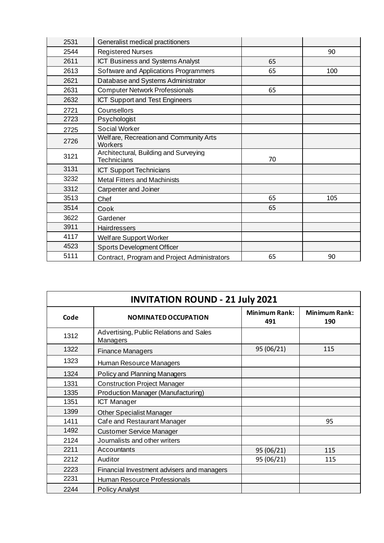| 2531 | Generalist medical practitioners                            |    |     |
|------|-------------------------------------------------------------|----|-----|
| 2544 | <b>Registered Nurses</b>                                    |    | 90  |
| 2611 | <b>ICT Business and Systems Analyst</b>                     | 65 |     |
| 2613 | Software and Applications Programmers                       | 65 | 100 |
| 2621 | Database and Systems Administrator                          |    |     |
| 2631 | <b>Computer Network Professionals</b>                       | 65 |     |
| 2632 | <b>ICT Support and Test Engineers</b>                       |    |     |
| 2721 | Counsellors                                                 |    |     |
| 2723 | Psychologist                                                |    |     |
| 2725 | Social Worker                                               |    |     |
| 2726 | Welfare, Recreation and Community Arts<br>Workers           |    |     |
| 3121 | Architectural, Building and Surveying<br><b>Technicians</b> | 70 |     |
| 3131 | <b>ICT Support Technicians</b>                              |    |     |
| 3232 | <b>Metal Fitters and Machinists</b>                         |    |     |
| 3312 | Carpenter and Joiner                                        |    |     |
| 3513 | Chef                                                        | 65 | 105 |
| 3514 | Cook                                                        | 65 |     |
| 3622 | Gardener                                                    |    |     |
| 3911 | Hairdressers                                                |    |     |
| 4117 | Welfare Support Worker                                      |    |     |
| 4523 | <b>Sports Development Officer</b>                           |    |     |
| 5111 | Contract, Program and Project Administrators                | 65 | 90  |

| <b>INVITATION ROUND - 21 July 2021</b> |                                                     |                             |                             |
|----------------------------------------|-----------------------------------------------------|-----------------------------|-----------------------------|
| Code                                   | NOMINATED OCCUPATION                                | <b>Minimum Rank:</b><br>491 | <b>Minimum Rank:</b><br>190 |
| 1312                                   | Advertising, Public Relations and Sales<br>Managers |                             |                             |
| 1322                                   | <b>Finance Managers</b>                             | 95 (06/21)                  | 115                         |
| 1323                                   | Human Resource Managers                             |                             |                             |
| 1324                                   | Policy and Planning Managers                        |                             |                             |
| 1331                                   | <b>Construction Project Manager</b>                 |                             |                             |
| 1335                                   | Production Manager (Manufacturing)                  |                             |                             |
| 1351                                   | <b>ICT Manager</b>                                  |                             |                             |
| 1399                                   | <b>Other Specialist Manager</b>                     |                             |                             |
| 1411                                   | Cafe and Restaurant Manager                         |                             | 95                          |
| 1492                                   | <b>Customer Service Manager</b>                     |                             |                             |
| 2124                                   | Journalists and other writers                       |                             |                             |
| 2211                                   | Accountants                                         | 95 (06/21)                  | 115                         |
| 2212                                   | Auditor                                             | 95 (06/21)                  | 115                         |
| 2223                                   | Financial Investment advisers and managers          |                             |                             |
| 2231                                   | Human Resource Professionals                        |                             |                             |
| 2244                                   | <b>Policy Analyst</b>                               |                             |                             |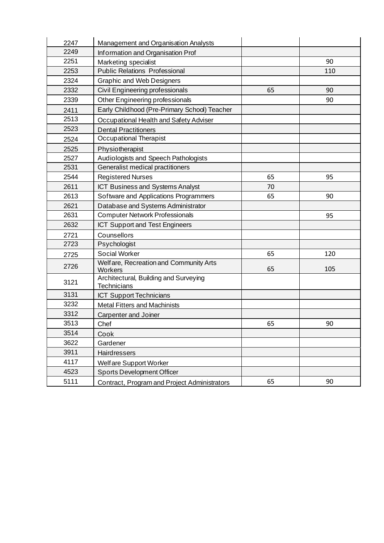| 2247 | Management and Organisation Analysts                        |    |     |
|------|-------------------------------------------------------------|----|-----|
| 2249 | Information and Organisation Prof                           |    |     |
| 2251 | Marketing specialist                                        |    | 90  |
| 2253 | <b>Public Relations Professional</b>                        |    | 110 |
| 2324 | <b>Graphic and Web Designers</b>                            |    |     |
| 2332 | Civil Engineering professionals                             | 65 | 90  |
| 2339 | Other Engineering professionals                             |    | 90  |
| 2411 | Early Childhood (Pre-Primary School) Teacher                |    |     |
| 2513 | Occupational Health and Safety Adviser                      |    |     |
| 2523 | <b>Dental Practitioners</b>                                 |    |     |
| 2524 | Occupational Therapist                                      |    |     |
| 2525 | Physiotherapist                                             |    |     |
| 2527 | Audiologists and Speech Pathologists                        |    |     |
| 2531 | Generalist medical practitioners                            |    |     |
| 2544 | <b>Registered Nurses</b>                                    | 65 | 95  |
| 2611 | ICT Business and Systems Analyst                            | 70 |     |
| 2613 | Software and Applications Programmers                       | 65 | 90  |
| 2621 | Database and Systems Administrator                          |    |     |
| 2631 | <b>Computer Network Professionals</b>                       |    | 95  |
| 2632 | <b>ICT Support and Test Engineers</b>                       |    |     |
| 2721 | Counsellors                                                 |    |     |
| 2723 | Psychologist                                                |    |     |
| 2725 | Social Worker                                               | 65 | 120 |
| 2726 | Welfare, Recreation and Community Arts<br>Workers           | 65 | 105 |
| 3121 | Architectural, Building and Surveying<br><b>Technicians</b> |    |     |
| 3131 | <b>ICT Support Technicians</b>                              |    |     |
| 3232 | <b>Metal Fitters and Machinists</b>                         |    |     |
| 3312 | Carpenter and Joiner                                        |    |     |
| 3513 | Chef                                                        | 65 | 90  |
| 3514 | Cook                                                        |    |     |
| 3622 | Gardener                                                    |    |     |
| 3911 | <b>Hairdressers</b>                                         |    |     |
| 4117 | Welf are Support Worker                                     |    |     |
| 4523 | <b>Sports Development Officer</b>                           |    |     |
| 5111 | Contract, Program and Project Administrators                | 65 | 90  |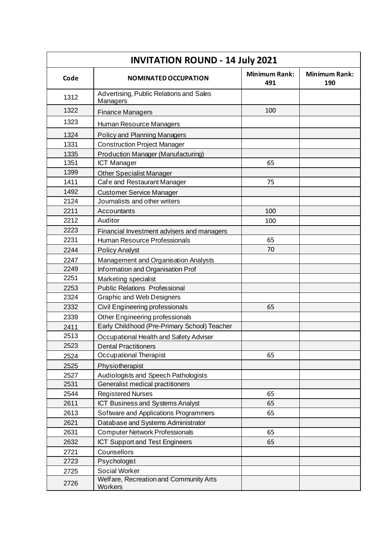| <b>INVITATION ROUND - 14 July 2021</b> |                                                     |                             |                             |
|----------------------------------------|-----------------------------------------------------|-----------------------------|-----------------------------|
| Code                                   | <b>NOMINATED OCCUPATION</b>                         | <b>Minimum Rank:</b><br>491 | <b>Minimum Rank:</b><br>190 |
| 1312                                   | Advertising, Public Relations and Sales<br>Managers |                             |                             |
| 1322                                   | <b>Finance Managers</b>                             | 100                         |                             |
| 1323                                   | Human Resource Managers                             |                             |                             |
| 1324                                   | <b>Policy and Planning Managers</b>                 |                             |                             |
| 1331                                   | <b>Construction Project Manager</b>                 |                             |                             |
| 1335                                   | Production Manager (Manufacturing)                  |                             |                             |
| 1351                                   | <b>ICT Manager</b>                                  | 65                          |                             |
| 1399                                   | <b>Other Specialist Manager</b>                     |                             |                             |
| 1411                                   | Cafe and Restaurant Manager                         | 75                          |                             |
| 1492                                   | <b>Customer Service Manager</b>                     |                             |                             |
| 2124                                   | Journalists and other writers                       |                             |                             |
| 2211                                   | Accountants                                         | 100                         |                             |
| 2212                                   | Auditor                                             | 100                         |                             |
| 2223                                   | Financial Investment advisers and managers          |                             |                             |
| 2231                                   | Human Resource Professionals                        | 65                          |                             |
| 2244                                   | <b>Policy Analyst</b>                               | 70                          |                             |
| 2247                                   | Management and Organisation Analysts                |                             |                             |
| 2249                                   | Information and Organisation Prof                   |                             |                             |
| 2251                                   | Marketing specialist                                |                             |                             |
| 2253                                   | <b>Public Relations Professional</b>                |                             |                             |
| 2324                                   | <b>Graphic and Web Designers</b>                    |                             |                             |
| 2332                                   | Civil Engineering professionals                     | 65                          |                             |
| 2339                                   | Other Engineering professionals                     |                             |                             |
| 2411                                   | Early Childhood (Pre-Primary School) Teacher        |                             |                             |
| 2513                                   | Occupational Health and Safety Adviser              |                             |                             |
| 2523                                   | <b>Dental Practitioners</b>                         |                             |                             |
| 2524                                   | Occupational Therapist                              | 65                          |                             |
| 2525                                   | Physiotherapist                                     |                             |                             |
| 2527                                   | Audiologists and Speech Pathologists                |                             |                             |
| 2531                                   | Generalist medical practitioners                    |                             |                             |
| 2544                                   | <b>Registered Nurses</b>                            | 65                          |                             |
| 2611                                   | ICT Business and Systems Analyst                    | 65                          |                             |
| 2613                                   | Software and Applications Programmers               | 65                          |                             |
| 2621                                   | Database and Systems Administrator                  |                             |                             |
| 2631                                   | <b>Computer Network Professionals</b>               | 65                          |                             |
| 2632                                   | ICT Support and Test Engineers                      | 65                          |                             |
| 2721                                   | Counsellors                                         |                             |                             |
| 2723                                   | Psychologist                                        |                             |                             |
| 2725                                   | Social Worker                                       |                             |                             |
| 2726                                   | Welfare, Recreation and Community Arts<br>Workers   |                             |                             |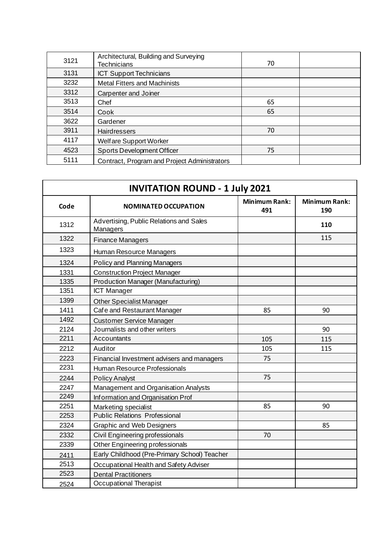| 3121 | Architectural, Building and Surveying<br><b>Technicians</b> | 70 |  |
|------|-------------------------------------------------------------|----|--|
| 3131 | <b>ICT Support Technicians</b>                              |    |  |
| 3232 | <b>Metal Fitters and Machinists</b>                         |    |  |
| 3312 | Carpenter and Joiner                                        |    |  |
| 3513 | Chef                                                        | 65 |  |
| 3514 | Cook                                                        | 65 |  |
| 3622 | Gardener                                                    |    |  |
| 3911 | <b>Hairdressers</b>                                         | 70 |  |
| 4117 | Welfare Support Worker                                      |    |  |
| 4523 | <b>Sports Development Officer</b>                           | 75 |  |
| 5111 | Contract, Program and Project Administrators                |    |  |

| <b>INVITATION ROUND - 1 July 2021</b> |                                                     |                             |                             |  |
|---------------------------------------|-----------------------------------------------------|-----------------------------|-----------------------------|--|
| Code                                  | <b>NOMINATED OCCUPATION</b>                         | <b>Minimum Rank:</b><br>491 | <b>Minimum Rank:</b><br>190 |  |
| 1312                                  | Advertising, Public Relations and Sales<br>Managers |                             | 110                         |  |
| 1322                                  | <b>Finance Managers</b>                             |                             | 115                         |  |
| 1323                                  | Human Resource Managers                             |                             |                             |  |
| 1324                                  | Policy and Planning Managers                        |                             |                             |  |
| 1331                                  | <b>Construction Project Manager</b>                 |                             |                             |  |
| 1335                                  | Production Manager (Manufacturing)                  |                             |                             |  |
| 1351                                  | <b>ICT Manager</b>                                  |                             |                             |  |
| 1399                                  | Other Specialist Manager                            |                             |                             |  |
| 1411                                  | Cafe and Restaurant Manager                         | 85                          | 90                          |  |
| 1492                                  | <b>Customer Service Manager</b>                     |                             |                             |  |
| 2124                                  | Journalists and other writers                       |                             | 90                          |  |
| 2211                                  | Accountants                                         | 105                         | 115                         |  |
| 2212                                  | Auditor                                             | 105                         | 115                         |  |
| 2223                                  | Financial Investment advisers and managers          | 75                          |                             |  |
| 2231                                  | Human Resource Professionals                        |                             |                             |  |
| 2244                                  | <b>Policy Analyst</b>                               | 75                          |                             |  |
| 2247                                  | Management and Organisation Analysts                |                             |                             |  |
| 2249                                  | Information and Organisation Prof                   |                             |                             |  |
| 2251                                  | Marketing specialist                                | 85                          | 90                          |  |
| 2253                                  | <b>Public Relations Professional</b>                |                             |                             |  |
| 2324                                  | <b>Graphic and Web Designers</b>                    |                             | 85                          |  |
| 2332                                  | Civil Engineering professionals                     | 70                          |                             |  |
| 2339                                  | Other Engineering professionals                     |                             |                             |  |
| 2411                                  | Early Childhood (Pre-Primary School) Teacher        |                             |                             |  |
| 2513                                  | Occupational Health and Safety Adviser              |                             |                             |  |
| 2523                                  | <b>Dental Practitioners</b>                         |                             |                             |  |
| 2524                                  | Occupational Therapist                              |                             |                             |  |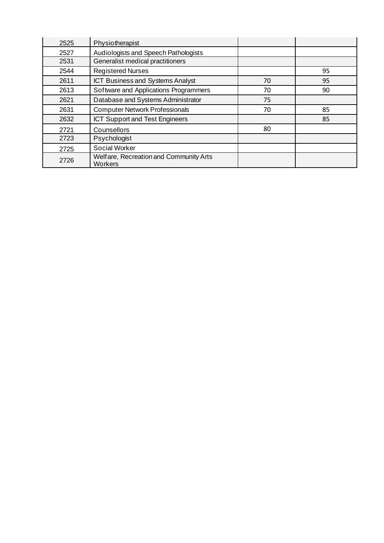| 2525 | Physiotherapist                                   |    |    |
|------|---------------------------------------------------|----|----|
| 2527 | Audiologists and Speech Pathologists              |    |    |
| 2531 | Generalist medical practitioners                  |    |    |
| 2544 | <b>Registered Nurses</b>                          |    | 95 |
| 2611 | ICT Business and Systems Analyst                  | 70 | 95 |
| 2613 | Software and Applications Programmers             | 70 | 90 |
| 2621 | Database and Systems Administrator                | 75 |    |
| 2631 | <b>Computer Network Professionals</b>             | 70 | 85 |
| 2632 | <b>ICT Support and Test Engineers</b>             |    | 85 |
| 2721 | Counsellors                                       | 80 |    |
| 2723 | Psychologist                                      |    |    |
| 2725 | <b>Social Worker</b>                              |    |    |
| 2726 | Welfare, Recreation and Community Arts<br>Workers |    |    |